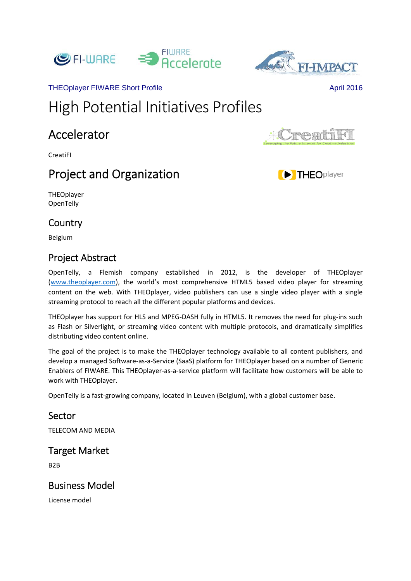



#### THEOplayer FIWARE Short Profile April 2016

# High Potential Initiatives Profiles

## Accelerator

CreatiFI

**D** THEOplayer

CreatiFI

# Project and Organization

**THEOplayer** OpenTelly

## **Country**

Belgium

## Project Abstract

OpenTelly, a Flemish company established in 2012, is the developer of THEOplayer (www.theoplayer.com), the world's most comprehensive HTML5 based video player for streaming content on the web. With THEOplayer, video publishers can use a single video player with a single streaming protocol to reach all the different popular platforms and devices.

THEOplayer has support for HLS and MPEG-DASH fully in HTML5. It removes the need for plug-ins such as Flash or Silverlight, or streaming video content with multiple protocols, and dramatically simplifies distributing video content online.

The goal of the project is to make the THEOplayer technology available to all content publishers, and develop a managed Software‐as‐a‐Service (SaaS) platform for THEOplayer based on a number of Generic Enablers of FIWARE. This THEOplayer‐as‐a‐service platform will facilitate how customers will be able to work with THEOplayer.

OpenTelly is a fast‐growing company, located in Leuven (Belgium), with a global customer base.

## Sector

TELECOM AND MEDIA

#### Target Market

B2B

#### Business Model

License model